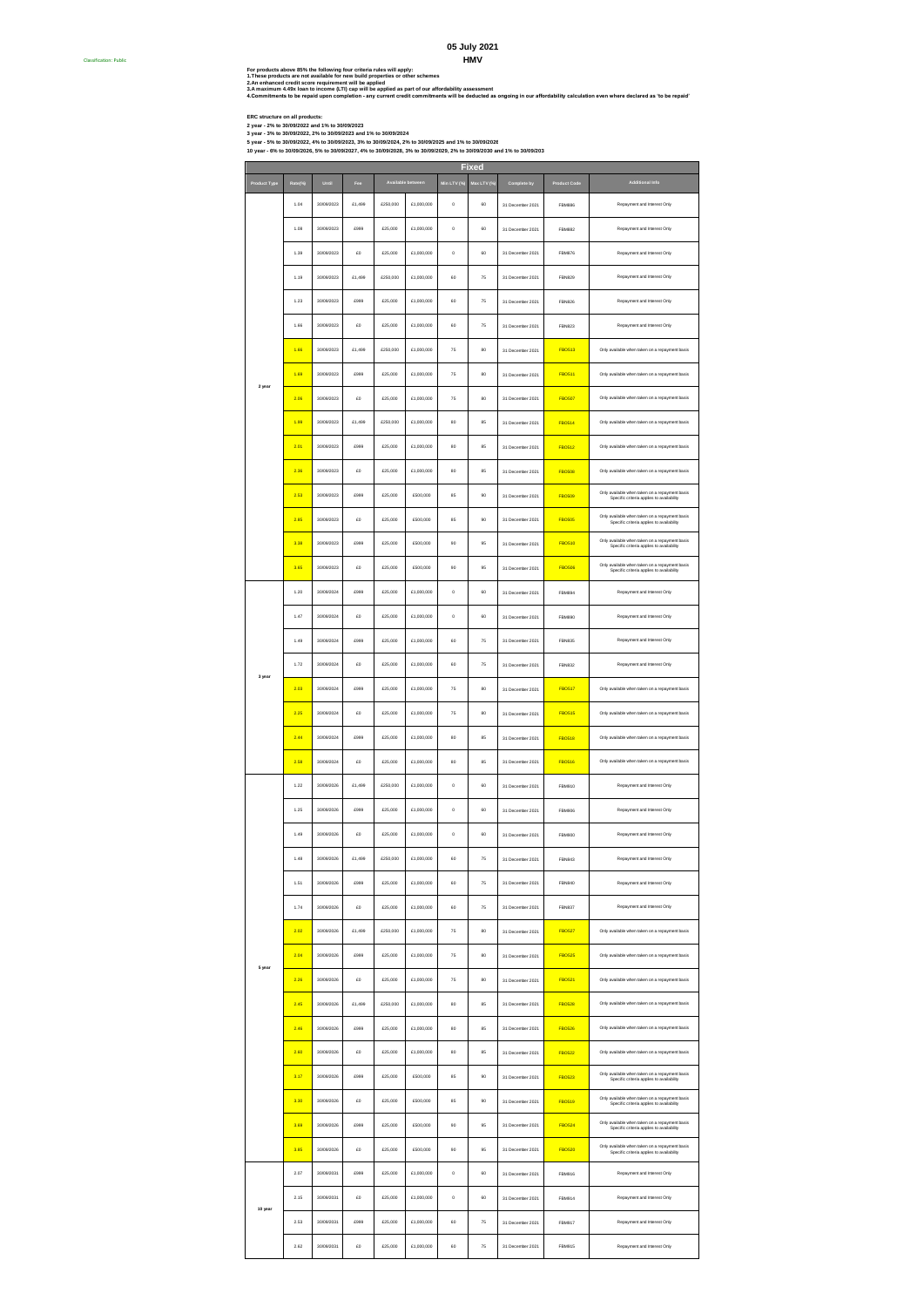### **HMV 05 July 2021**

For products above 85% the following four criteria rules will apply:<br>2 An emismored resel score in the following the state of the reselences<br>2 An emismored resel score for the man will properties or color and reductivity a

**ERC structure on all products: 2 year - 2% to 30/09/2022 and 1% to 30/09/2023**

Classification: Public #

**3 year - 3% to 30/09/2022, 2% to 30/09/2023 and 1% to 30/09/2024**

5 year - 5% to 30/09/2022, 4% to 30/09/2023, 3% to 30/09/2024, 2% to 30/09/2025 and 1% to 30/09/2026<br>10 year - 6% to 30/09/2026, 5% to 30/09/2027, 4% to 30/09/2028, 3% to 30/09/2029, 2% to 30/09/2030 and 1% to 30/09/203

**Product Type Rate(%) Until Fee Min LTV (%) Max LTV (%) Complete by Product Code** 1.04 30/09/2023 £1,499 £250,000 £1,000,000 0 60 31 December 2021 FBM886 1.08 30/09/2023 £999 £25,000 £1,000,000 0 60 31 December 2021 FBM882 1.39 30/09/2023 £0 £25,000 £1,000,000 0 60 31 December 2021 FBM876 1.19 30/09/2023 £1,499 £250,000 £1,000,000 60 75 31 December 2021 FBN829 1.23 30/09/2023 £999 £25,000 £1,000,000 60 75 31 December 2021 FBN826 1.66 30/09/2023 £0 £25,000 £1,000,000 60 75 31 December 2021 FBN823 1.66 30/09/2023 £1,499 £250,000 £1,000,000 75 80 31 December 2021 FBO513 1.69 30/09/2023 £999 £25,000 £1,000,000 75 80 31 December 2021 FBO511 2.06 30/09/2023 £0 £25,000 £1,000,000 75 80 31 December 2021 FBO507 1.99 30/09/2023 £1,499 £250,000 £1,000,000 80 85 31 December 2021 FBO514 2.01 30/09/2023 £999 £25,000 £1,000,000 80 85 31 December 2021 FBO512 2.36 30/09/2023 £0 £25,000 £1,000,000 80 85 31 December 2021 FBO508 2.53 30/09/2023 £999 £25,000 £500,000 85 90 31 December 2021 FBO509 2.85 30/09/2023 £0 £25,000 £500,000 85 90 31 December 2021 FBO505 3.38 30/09/2023 £999 £25,000 £500,000 90 95 31 December 2021 FBO510 3.65 30/09/2023 £0 £25,000 £500,000 90 95 31 December 2021 FBO506 1.20 30/09/2024 £999 £25,000 £1,000,000 0 60 31 December 2021 FBM894 1.47 30/09/2024 £0 £25,000 £1,000,000 0 60 31 December 2021 FBM890 1.49 30/09/2024 £999 £25,000 £1,000,000 60 75 31 December 2021 FBN835 1.72 30/09/2024 £0 £25,000 £1,000,000 60 75 31 December 2021 FBN832 2.03 30/09/2024 £999 £25,000 £1,000,000 75 80 31 December 2021 FBO517 2.25 30/09/2024 £0 £25,000 £1,000,000 75 80 31 December 2021 FBO515 2.44 30/09/2024 £999 £25,000 £1,000,000 80 85 31 December 2021 FBO518 2.58 30/09/2024 £0 £25,000 £1,000,000 80 85 31 December 2021 FBO516 1.22 30/09/2026 £1,499 £250,000 £1,000,000 0 60 31 December 2021 FBM910 1.25 30/09/2026 £999 £25,000 £1,000,000 0 60 31 December 2021 FBM906 1.49 30/09/2026 £0 £25,000 £1,000,000 0 60 31 December 2021 FBM900 1.48 30/09/2026 £1,499 £250,000 £1,000,000 60 75 31 December 2021 FBN843 1.51 30/09/2026 £999 £25,000 £1,000,000 60 75 31 December 2021 FBN840 1.74 30/09/2026 £0 £25,000 £1,000,000 60 75 31 December 2021 FBN837 2.02 30/09/2026 £1,499 £250,000 £1,000,000 75 80 31 December 2021 FBO527 2.04 30/09/2026 £999 £25,000 £1,000,000 75 80 31 December 2021 FBO525 2.26 30/09/2026 £0 £25,000 £1,000,000 75 80 31 December 2021 FBO521 2.45 30/09/2026 £1,499 £250,000 £1,000,000 80 85 31 December 2021 FBO528 2.46 30/09/2026 £999 £25,000 £1,000,000 80 85 31 December 2021 FBO526 2.60 30/09/2026 £0 £25,000 £1,000,000 80 85 31 December 2021 FBO522 3.17 30/09/2026 £999 £25,000 £500,000 85 90 31 December 2021 FBO523 3.30 30/09/2026 £0 £25,000 £500,000 85 90 31 December 2021 FBO519 3.69 30/09/2026 £999 £25,000 £500,000 90 95 31 December 2021 FBO524 3.85 30/09/2026 £0 £25,000 £500,000 90 95 31 December 2021 FBO520 2.07 30/09/2031 £999 £25,000 £1,000,000 0 60 31 December 2021 FBM916 2.15 30/09/2031 £0 £25,000 £1,000,000 0 60 31 December 2021 FBM914 2.53 30/09/2031 £999 £25,000 £1,000,000 60 75 31 December 2021 FBM917 2.62 30/09/2031 £0 £25,000 £1,000,000 60 75 31 December 2021 FBM915 Repayment and Interest Only Repayment and Interest Only Only available when taken on a rep Only available when taken on a repaym Only available when taken on a repay Repayment and Interest Only Only available when taken on a repayment basis Specific criteria applies to availability Only available when taken on a repayment basis Specific criteria applies to availability Only available when taken on a repayment basis Specific criteria applies to availability **5 year** Only available when taken on a repayment basis Only available when taken on a repayment basis Specific criteria applies to availability Repayment and Interest Only Repayment and Interest Only **Fixed Available between Additional Info** Repayment and Interest Only Repayment and Interest Only Only available when taken on a repayment basis Repayment and Interest Only Only available when taken on a repayment basis Specific criteria applies to availability Only available when taken on a repayment basis Specific criteria applies to availability Only available when taken on a repayment basis Repayment and Interest Only Repayment and Interest Only Repayment and Interest Only Repayment and Interest Only Only available when taken on a rep Only available when taken on a rep Only available when taken on a repayment basis Only available when taken on a repay Only available when taken on a repay Only available when taken on a repaym Only available when taken on a repayment basis Specific criteria applies to availability Only available when taken on a repayment basis Specific criteria applies to availability Repayment and Interest Only Repayment and Interest Only Repayment and Interest Only Repayment and Interest Only **10 year** Repayment and Interest Only Repayment and Interest Only Only available when taken on a repayment basis Repayment and Interest Only Only available when taken on a repay Repayment and Interest Only **2 year 3 year** Only available when taken on a repayment basis Only available when taken on a repay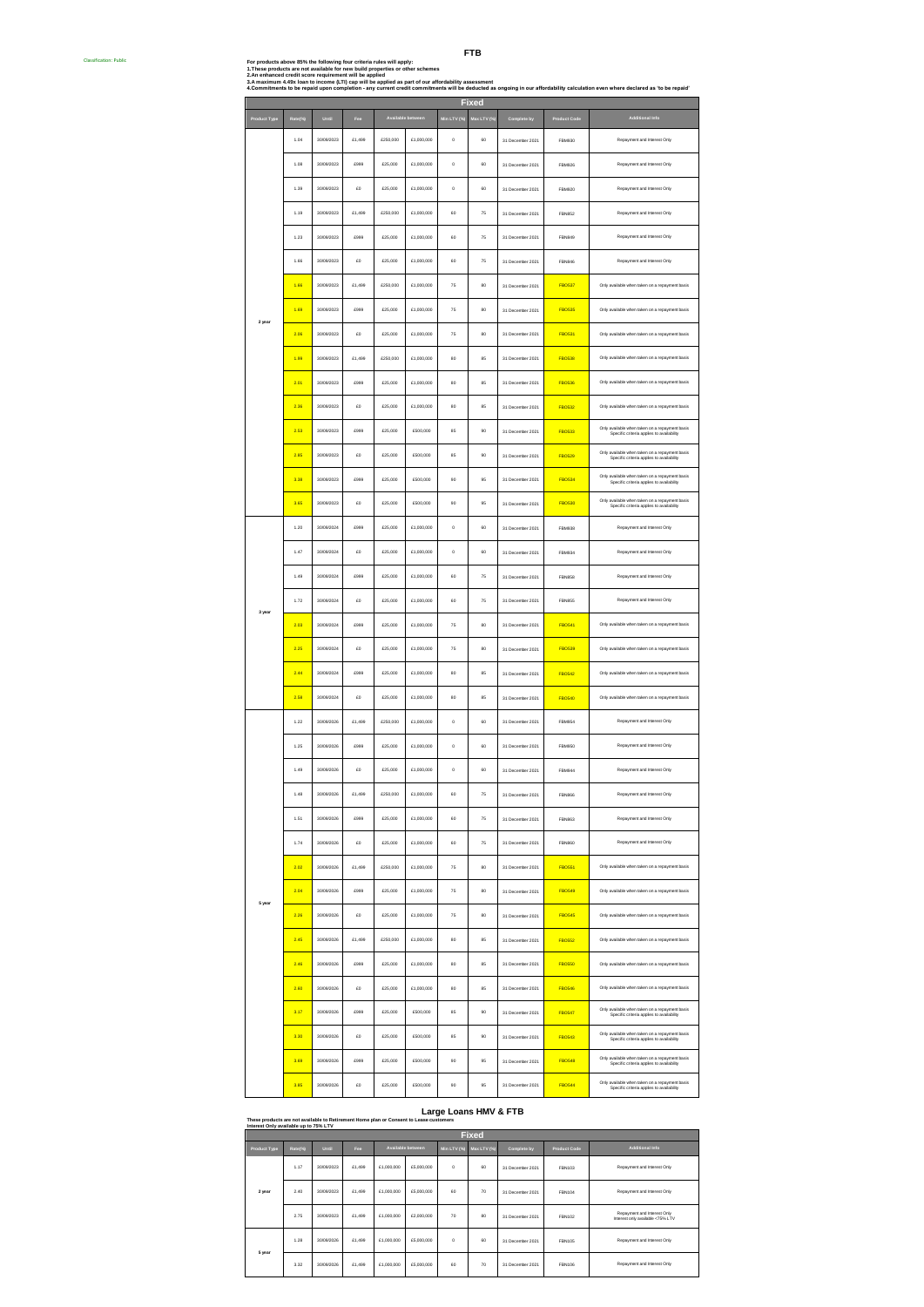Ē

| For products above 85% the following four criteria rules will apply:                                                                                                           |
|--------------------------------------------------------------------------------------------------------------------------------------------------------------------------------|
| 1.These products are not available for new build properties or other schemes                                                                                                   |
| 2.An enhanced credit score requirement will be applied                                                                                                                         |
| 3.A maximum 4.49x loan to income (LTI) cap will be applied as part of our affordability assessment                                                                             |
| 4.Commitments to be repaid upon completion - any current credit commitments will be deducted as ongoing in our affordability calculation even where declared as 'to be repaid' |
|                                                                                                                                                                                |

|              |         |            |        |           |                   |             | Fixed              |                  |               |                                                                                             |
|--------------|---------|------------|--------|-----------|-------------------|-------------|--------------------|------------------|---------------|---------------------------------------------------------------------------------------------|
| Product Type | Rate(%) | Until      | Fee    |           | Available between | Min LTV (%) | Max LTV (%)        | Complete by      | Product Code  | <b>Additional Info</b>                                                                      |
|              | 1.04    | 30/09/2023 | £1,499 | \$250,000 | £1,000,000        | $\circ$     | 60                 | 31 December 2021 | <b>FBM930</b> | Repayment and Interest Only                                                                 |
|              | 1.08    | 30/09/2023 | £999   | £25,000   | £1,000,000        | $\circ$     | 60                 | 31 December 2021 | <b>FBM926</b> | Repayment and Interest Only                                                                 |
|              | 1.39    | 30/09/2023 | £0     | £25,000   | £1,000,000        | $\circ$     | 60                 | 31 December 2021 | <b>FBM920</b> | Repayment and Interest Only                                                                 |
|              | 1.19    | 30/09/2023 | £1,499 | £250,000  | £1,000,000        | 60          | $\scriptstyle{75}$ | 31 December 2021 | <b>FBN852</b> | Repayment and Interest Only                                                                 |
|              | 1.23    | 30/09/2023 | £999   | £25,000   | £1,000,000        | 60          | 75                 | 31 December 2021 | <b>FBN849</b> | Repayment and Interest Only                                                                 |
|              | 1.66    | 30/09/2023 | £0     | £25,000   | \$1,000,000       | 60          | 75                 | 31 December 2021 | <b>FBN846</b> | Repayment and Interest Only                                                                 |
|              | 1.66    | 30/09/2023 | £1,499 | £250,000  | £1,000,000        | 75          | 80                 | 31 December 2021 | <b>FBO537</b> | Only available when taken on a repayment basis                                              |
| 2 year       | 1.69    | 30/09/2023 | £999   | £25,000   | £1,000,000        | 75          | 80                 | 31 December 2021 | <b>FBO535</b> | Only available when taken on a repayment basis                                              |
|              | 2.06    | 30/09/2023 | £O     | £25,000   | £1,000,000        | 75          | 80                 | 31 December 2021 | <b>FBO531</b> | Only available when taken on a repayment basis                                              |
|              | 1.99    | 30/09/2023 | £1,499 | £250,000  | £1,000,000        | 80          | 85                 | 31 December 2021 | <b>FBO538</b> | Only available when taken on a repayment basis                                              |
|              | 2.01    | 30/09/2023 | £999   | £25,000   | £1,000,000        | 80          | 85                 | 31 December 2021 | <b>FBO536</b> | Only available when taken on a repayment basis                                              |
|              | 2.36    | 30/09/2023 | £O     | £25,000   | £1,000,000        | 80          | 85                 | 31 December 2021 | <b>FBO532</b> | Only available when taken on a repayment basis                                              |
|              | 2.53    | 30/09/2023 | £999   | £25,000   | £500,000          | 85          | 90                 | 31 December 2021 | <b>FBO533</b> | Only available when taken on a repayment basis<br>Specific criteria applies to availability |
|              | 2.85    | 30/09/2023 | £O     | £25,000   | £500,000          | 85          | 90                 | 31 December 2021 | <b>FBO529</b> | Only available when taken on a repayment basis<br>Specific criteria applies to availability |
|              | 3.38    | 30/09/2023 | £999   | £25,000   | £500,000          | 90          | 95                 | 31 December 2021 | <b>FBO534</b> | Only available when taken on a repayment basis<br>Specific criteria applies to availability |
|              | 3.65    | 30/09/2023 | £0     | £25,000   | £500,000          | 90          | 95                 | 31 December 2021 | <b>FBO530</b> | Only available when taken on a repayment basis<br>Specific criteria applies to availability |
|              | 1.20    | 30/09/2024 | £999   | £25,000   | £1,000,000        | $\circ$     | 60                 | 31 December 2021 | FBM938        | Repayment and Interest Only                                                                 |
|              | 1.47    | 30/09/2024 | £O     | £25,000   | £1,000,000        | $\circ$     | 60                 | 31 December 2021 | <b>FBM934</b> | Repayment and Interest Only                                                                 |
|              | 1.49    | 30/09/2024 | £999   | £25,000   | £1,000,000        | 60          | $\scriptstyle{75}$ | 31 December 2021 | <b>FBN858</b> | Repayment and Interest Only                                                                 |
| 3 year       | 1.72    | 30/09/2024 | £O     | £25,000   | £1,000,000        | 60          | 75                 | 31 December 2021 | <b>FBN855</b> | Repayment and Interest Only                                                                 |
|              | 2.03    | 30/09/2024 | £999   | £25,000   | £1,000,000        | 75          | 80                 | 31 December 2021 | <b>FBO541</b> | Only available when taken on a repayment basis                                              |
|              | 2.25    | 30/09/2024 | £O     | £25,000   | £1,000,000        | 75          | 80                 | 31 December 2021 | <b>FBO539</b> | Only available when taken on a repayment basis                                              |
|              | 2.44    | 30/09/2024 | £999   | £25,000   | £1,000,000        | 80          | 85                 | 31 December 2021 | <b>FBO542</b> | Only available when taken on a repayment basis                                              |
|              | 2.58    | 30/09/2024 | £O     | £25,000   | £1,000,000        | 80          | 85                 | 31 December 2021 | <b>FBO540</b> | Only available when taken on a repayment basis                                              |
|              | 1.22    | 30/09/2026 | £1,499 | £250,000  | £1,000,000        | $\circ$     | 60                 | 31 December 2021 | FBM954        | Repayment and Interest Only                                                                 |
|              | 1.25    | 30/09/2026 | £999   | £25,000   | £1,000,000        | $\circ$     | 60                 | 31 December 2021 | <b>FBM950</b> | Repayment and Interest Only                                                                 |
|              | 1.49    | 30/09/2026 | £O     | £25,000   | £1,000,000        | $\circ$     | 60                 | 31 December 2021 | FBM944        | Repayment and Interest Only                                                                 |
|              | 1.48    | 30/09/2026 | £1,499 | £250,000  | £1,000,000        | 60          | 75                 | 31 December 2021 | ERNBER        | Repayment and Interest Only                                                                 |
|              | 1.51    | 30/09/2026 | £999   | £25,000   | £1,000,000        | 60          | 75                 | 31 December 2021 | <b>FBN863</b> | Repayment and Interest Only                                                                 |
|              | 1.74    | 30/09/2026 | £O     | £25,000   | £1,000,000        | 60          | 75                 | 31 December 2021 | <b>FRNRFO</b> | Repayment and Interest Only                                                                 |
|              | 2.02    | 30/09/2026 | £1,499 | £250,000  | £1,000,000        | 75          | 80                 | 31 December 2021 | <b>FBO551</b> | Only available when taken on a repayment basis                                              |
| 5 year       | 2.04    | 30/09/2026 | £999   | £25,000   | £1,000,000        | 75          | 80                 | 31 December 2021 | <b>FBO549</b> | Only available when taken on a repayment basis                                              |
|              | 2.26    | 30/09/2026 | £0     | £25,000   | £1,000,000        | 75          | 80                 | 31 December 2021 | <b>FBO545</b> | Only available when taken on a repayment basis                                              |
|              | 2.45    | 30/09/2026 | £1,499 | £250,000  | £1,000,000        | 80          | 85                 | 31 December 2021 | <b>FBO552</b> | Only available when taken on a repayment basis                                              |
|              | 2.46    | 30/09/2026 | £999   | £25,000   | £1,000,000        | 80          | 85                 | 31 December 2021 | <b>FBO550</b> | Only available when taken on a repayment basis                                              |
|              | 2.60    | 30/09/2026 | £0     | £25,000   | £1,000,000        | 80          | 85                 | 31 December 2021 | <b>FBO546</b> | Only available when taken on a repayment basis                                              |
|              | 3.17    | 30/09/2026 | £999   | £25,000   | £500,000          | 85          | 90                 | 31 December 2021 | <b>FBO547</b> | Only available when taken on a repayment basis<br>Specific criteria applies to availability |
|              | 3.30    | 30/09/2026 | £0     | £25,000   | £500,000          | 85          | 90                 | 31 December 2021 | <b>FBO543</b> | Only available when taken on a repayment basis<br>Specific criteria applies to availability |
|              | 3.69    | 30/09/2026 | £999   | £25,000   | £500,000          | 90          | 95                 | 31 December 2021 | <b>FBO548</b> | Only available when taken on a repayment basis<br>Specific criteria applies to availability |
|              | 3.85    | 30/09/2026 | £0     | £25,000   | £500,000          | 90          | 95                 | 31 December 2021 | <b>FBO544</b> | Only available when taken on a repayment basis<br>Specific criteria applies to availability |

| Large Loans HMV & FTB<br>These products are not available to Retirement Home plan or Consent to Lease customers<br>Interest Only available up to 75% LTV |              |              |        |            |                          |             |             |                  |                     |                                                                 |  |  |  |  |
|----------------------------------------------------------------------------------------------------------------------------------------------------------|--------------|--------------|--------|------------|--------------------------|-------------|-------------|------------------|---------------------|-----------------------------------------------------------------|--|--|--|--|
|                                                                                                                                                          | <b>Fixed</b> |              |        |            |                          |             |             |                  |                     |                                                                 |  |  |  |  |
| Product Type                                                                                                                                             | Rate(%)      | <b>Until</b> | Fee    |            | <b>Available between</b> | Min LTV (%) | Max LTV (%) | Complete by      | <b>Product Code</b> | Additional Info                                                 |  |  |  |  |
|                                                                                                                                                          | 1.17         | 30/09/2023   | £1,499 | £1,000,000 | £5,000,000               | $\circ$     | 60          | 31 December 2021 | FBN103              | Repayment and Interest Only                                     |  |  |  |  |
| 2 year                                                                                                                                                   | 2.40         | 30/09/2023   | £1,499 | £1,000,000 | £5,000,000               | 60          | 70          | 31 December 2021 | FRN104              | Repayment and Interest Only                                     |  |  |  |  |
|                                                                                                                                                          | 2.75         | 30/09/2023   | £1,499 | £1,000,000 | £2,000,000               | 70          | 80          | 31 December 2021 | FBN102              | Repayment and Interest Only<br>Interest only available <75% LTV |  |  |  |  |
| 5 year                                                                                                                                                   | 1.28         | 30/09/2026   | £1,499 | £1,000,000 | £5,000,000               | $\circ$     | 60          | 31 December 2021 | FRN105              | Repayment and Interest Only                                     |  |  |  |  |
|                                                                                                                                                          | 3.32         | 30/09/2026   | £1,499 | £1,000,000 | £5,000,000               | 60          | 70          | 31 December 2021 | FBN106              | Repayment and Interest Only                                     |  |  |  |  |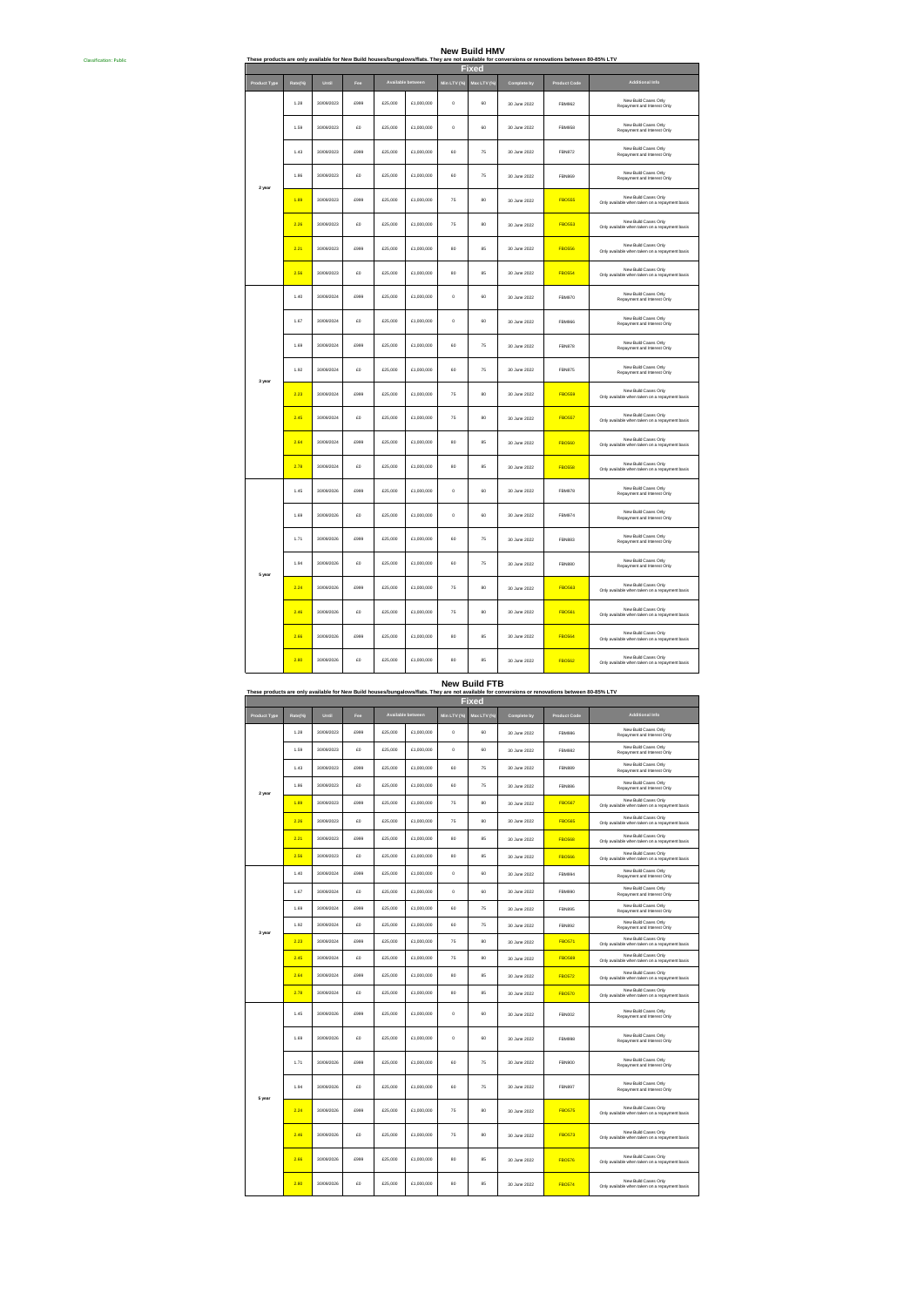### Classification: Public # **These products are only available for New Build houses/bungalows/flats. They are not available for conversions or renovations between 80-85% LTV New Build HMV**

|              |         |            |              |         |                   |             | <b>Fixed</b> |              |                     |                                                                        |
|--------------|---------|------------|--------------|---------|-------------------|-------------|--------------|--------------|---------------------|------------------------------------------------------------------------|
| Product Type | Rate(%) | Until      | Fee          |         | Available between | Min LTV (%) | Max LTV (%)  | Complete by  | <b>Product Code</b> | Additional Info                                                        |
|              | 1.28    | 30/09/2023 | rggg         | £25,000 | £1,000,000        | $\circ$     | 60           | 30 June 2022 | <b>FBM962</b>       | New Build Cases Only<br>Repayment and Interest Only                    |
|              | 1.59    | 30/09/2023 | $\epsilon$ n | £25,000 | £1,000,000        | $\circ$     | 60           | 30 June 2022 | <b>FBM958</b>       | New Build Cases Only<br>Repayment and Interest Only                    |
|              | 1.43    | 30/09/2023 | £999         | £25,000 | £1,000,000        | 60          | 75           | 30 June 2022 | <b>FBN872</b>       | New Build Cases Only<br>Repayment and Interest Only                    |
| 2 year       | 1.86    | 30/09/2023 | £O           | £25,000 | £1,000,000        | 60          | 75           | 30 June 2022 | <b>FBN869</b>       | New Build Cases Only<br>Repayment and Interest Only                    |
|              | 1.89    | 30/09/2023 | £999         | £25,000 | £1,000,000        | 75          | 80           | 30 June 2022 | <b>FBO555</b>       | New Build Cases Only<br>Only available when taken on a repayment basis |
|              | 2.26    | 30/09/2023 | £O           | £25,000 | £1,000,000        | 75          | 80           | 30 June 2022 | <b>FBO553</b>       | New Build Cases Only<br>Only available when taken on a repayment basis |
|              | 2.21    | 30/09/2023 | £999         | £25,000 | £1,000,000        | 80          | 85           | 30 June 2022 | <b>FBO556</b>       | New Build Cases Only<br>Only available when taken on a repayment basis |
|              | 2.56    | 30/09/2023 | $\epsilon$ n | £25,000 | £1,000,000        | BD          | 85           | 30 June 2022 | <b>FBO554</b>       | New Build Cases Only<br>Only available when taken on a repayment basis |
|              | 1.40    | 30/09/2024 | rggg         | £25,000 | £1,000,000        | $\circ$     | 60           | 30 June 2022 | FBM970              | New Build Cases Only<br>Repayment and Interest Only                    |
|              | 1.67    | 30/09/2024 | £D           | £25,000 | £1,000,000        | $\circ$     | 60           | 30 June 2022 | <b>FBM966</b>       | New Build Cases Only<br>Repayment and Interest Only                    |
|              | 1.69    | 30/09/2024 | £999         | £25,000 | £1,000,000        | 60          | 75           | 30 June 2022 | <b>FRNR78</b>       | New Build Cases Only<br>Repayment and Interest Only                    |
| 3 year       | 1.92    | 30/09/2024 | £D           | £25,000 | £1,000,000        | 60          | 75           | 30 June 2022 | <b>FBN875</b>       | New Build Cases Only<br>Repayment and Interest Only                    |
|              | 2.23    | 30/09/2024 | £999         | £25,000 | £1,000,000        | 75          | 80           | 30 June 2022 | <b>FBO559</b>       | New Build Cases Only<br>Only available when taken on a repayment basis |
|              | 2.45    | 30/09/2024 | £D           | £25,000 | £1,000,000        | 75          | 80           | 30 June 2022 | <b>FBO557</b>       | New Build Cases Only<br>Only available when taken on a repayment basis |
|              | 2.64    | 30/09/2024 | £999         | £25,000 | £1,000,000        | 80          | 85           | 30 June 2022 | <b>FBO550</b>       | New Build Cases Only<br>Only available when taken on a repayment basis |
|              | 2.78    | 30/09/2024 | £D           | £25,000 | £1,000,000        | 80          | 85           | 30 June 2022 | <b>FBO558</b>       | New Build Cases Only<br>Only available when taken on a repayment basis |
|              | 1.45    | 30/09/2026 | rggg         | £25,000 | £1,000,000        | $\circ$     | 60           | 30 June 2022 | FBM978              | New Build Cases Only<br>Repayment and Interest Only                    |
|              | 1.69    | 30/09/2026 | £D           | £25,000 | £1,000,000        | $\circ$     | 60           | 30 June 2022 | FBM974              | New Build Cases Only<br>Repayment and Interest Only                    |
|              | 1.71    | 30/09/2026 | £999         | £25,000 | £1,000,000        | 60          | 75           | 30 June 2022 | <b>FBN883</b>       | New Build Cases Only<br>Repayment and Interest Only                    |
| 5 year       | 1.94    | 30/09/2026 | £D           | £25,000 | £1,000,000        | 60          | 75           | 30 June 2022 | <b>FBN880</b>       | New Build Cases Only<br>Repayment and Interest Only                    |
|              | 2.24    | 30/09/2026 | £999         | £25,000 | £1,000,000        | 75          | 80           | 30 June 2022 | <b>FBO563</b>       | New Build Cases Only<br>Only available when taken on a repayment basis |
|              | 2.46    | 30/09/2026 | £O           | £25,000 | £1,000,000        | 75          | 80           | 30 June 2022 | <b>FBO561</b>       | New Build Cases Only<br>Only available when taken on a repayment basis |
|              | 2.66    | 30/09/2026 | £999         | £25,000 | £1,000,000        | 80          | 85           | 30 June 2022 | <b>FBO564</b>       | New Build Cases Only<br>Only available when taken on a repayment basis |
|              | 2.80    | 30/09/2026 | £D           | £25,000 | £1,000,000        | 80          | 85           | 30 June 2022 | <b>FBO562</b>       | New Build Cases Only<br>Only available when taken on a repayment basis |

These products are only available for New Build houses/bungalows/flats. They are not available for conversions or renovations between 80-85% LTV **New Build FTB**

|              |        |            |                |          |                   |                | <b>Fixed</b>   |              |                     |                                                                        |
|--------------|--------|------------|----------------|----------|-------------------|----------------|----------------|--------------|---------------------|------------------------------------------------------------------------|
| Product Type | Rate(% | Until      | Fee            |          | Available between | Min LTV (%)    | Max LTV (%)    | Complete by  | <b>Product Code</b> | <b>Additional Info</b>                                                 |
|              | 1.28   | 30/09/2023 | £999           | £25,000  | £1,000,000        | $\circ$        | 60             | 30.lune 2022 | <b>FRM9R6</b>       | New Build Cases Only<br>Repayment and Interest Only                    |
|              | 1.59   | 30/09/2023 | £O             | £25,000  | £1,000,000        | o              | 60             | 30 June 2022 | <b>FBM982</b>       | New Build Cases Only<br>Repayment and Interest Only                    |
|              | 1.43   | 30/09/2023 | rggg           | \$25,000 | £1,000,000        | 60             | 75             | 30 June 2022 | <b>FBN889</b>       | New Build Cases Only<br>Repayment and Interest Only                    |
| 2 year       | 1.86   | 30/09/2023 | £O             | £25,000  | £1,000,000        | 60             | 75             | 30 June 2022 | <b>FRNRRF</b>       | New Build Cases Only<br>Repayment and Interest Only                    |
|              | 1.89   | 30/09/2023 | £999           | £25,000  | £1,000,000        | 75             | 80             | 30.lune 2022 | <b>FBO567</b>       | New Build Cases Only<br>Only available when taken on a repayment basis |
|              | 2.26   | 30/09/2023 | £D             | £25,000  | £1,000,000        | 75             | 80             | 30 June 2022 | <b>FBO565</b>       | New Build Cases Only<br>Only available when taken on a repayment basis |
|              | 2.21   | 30/09/2023 | rggg           | £25,000  | £1,000,000        | R <sub>0</sub> | gr,            | 30.lune 2022 | <b>FBO568</b>       | New Build Cases Only<br>Only available when taken on a repayment basis |
|              | 2.56   | 30/09/2023 | £O             | £25,000  | £1,000,000        | 80             | 85             | 30 June 2022 | <b>FBO566</b>       | New Build Cases Only<br>Only available when taken on a repayment basis |
|              | 1.40   | 30/09/2024 | rggg           | \$25,000 | £1,000,000        | $\circ$        | 60             | 30 June 2022 | FBM994              | New Build Cases Only<br>Repayment and Interest Only                    |
|              | 1.67   | 30/09/2024 | £D             | £25,000  | £1,000,000        | $\circ$        | 60             | 30.lune 2022 | <b>FRM990</b>       | New Build Cases Only<br>Repayment and Interest Only                    |
|              | 1.69   | 30/09/2024 | rggg           | \$25,000 | £1,000,000        | 60             | 75             | 30 June 2022 | <b>FBN895</b>       | New Build Cases Only<br>Repayment and Interest Only                    |
| 3 year       | 192    | 30/09/2024 | F <sub>n</sub> | \$25,000 | \$1,000,000       | 60             | 75             | 30 June 2022 | <b>FBN892</b>       | New Build Cases Only<br>Repayment and Interest Only                    |
|              | 2.23   | 30/09/2024 | rggg           | \$25,000 | £1,000,000        | 75             | R <sub>0</sub> | 30 June 2022 | <b>FBO571</b>       | New Build Cases Only<br>Only available when taken on a repayment basis |
|              | 2.45   | 30/09/2024 | F <sub>n</sub> | \$25,000 | \$1,000,000       | 75             | R <sub>0</sub> | 30 June 2022 | <b>FBO569</b>       | New Build Cases Only<br>Only available when taken on a repayment basis |
|              | 2.64   | 30/09/2024 | rggg           | \$25,000 | £1,000,000        | BD             | 85             | 30 June 2022 | <b>FBO572</b>       | New Build Cases Only<br>Only available when taken on a repayment basis |
|              | 2.78   | 30/09/2024 | F <sub>n</sub> | \$25,000 | £1,000,000        | BD             | 85             | 30 June 2022 | <b>FBO570</b>       | New Build Cases Only<br>Only available when taken on a repayment basis |
|              | 1.45   | 30/09/2026 | £999           | £25,000  | £1,000,000        | $\circ$        | 60             | 30.lune 2022 | FBN002              | New Build Cases Only<br>Repayment and Interest Only                    |
|              | 1.69   | 30/09/2026 | £n             | \$25,000 | \$1,000,000       | $\Omega$       | 60             | 30 June 2022 | <b>FBM998</b>       | New Build Cases Only<br>Repayment and Interest Only                    |
|              | 1.71   | 30/09/2026 | £999           | £25,000  | £1,000,000        | 60             | 75             | 30.lune 2022 | EBN900              | New Build Cases Only<br>Repayment and Interest Only                    |
| 5 year       | 1.94   | 30/09/2026 | £O             | £25,000  | £1,000,000        | 60             | 75             | 30 June 2022 | <b>FBN897</b>       | New Build Cases Only<br>Repayment and Interest Only                    |
|              | 2.24   | 30/09/2026 | £999           | £25,000  | £1,000,000        | 75             | 80             | 30.lune 2022 | <b>FBO575</b>       | New Build Cases Only<br>Only available when taken on a repayment basis |
|              | 2.46   | 30/09/2026 | £O             | £25,000  | £1,000,000        | 75             | 80             | 30.lune 2022 | <b>FBO573</b>       | New Build Cases Only<br>Only available when taken on a repayment basis |
|              | 2.66   | 30/09/2026 | rggg           | £25,000  | \$1,000,000       | BD             | R5             | 30 June 2022 | <b>FBO576</b>       | New Build Cases Only<br>Only available when taken on a repayment basis |
|              | 2.80   | 30/09/2026 | £O             | £25,000  | £1,000,000        | 80             | 85             | 30.lune 2022 | <b>FBO574</b>       | New Build Cases Only<br>Only available when taken on a repayment basis |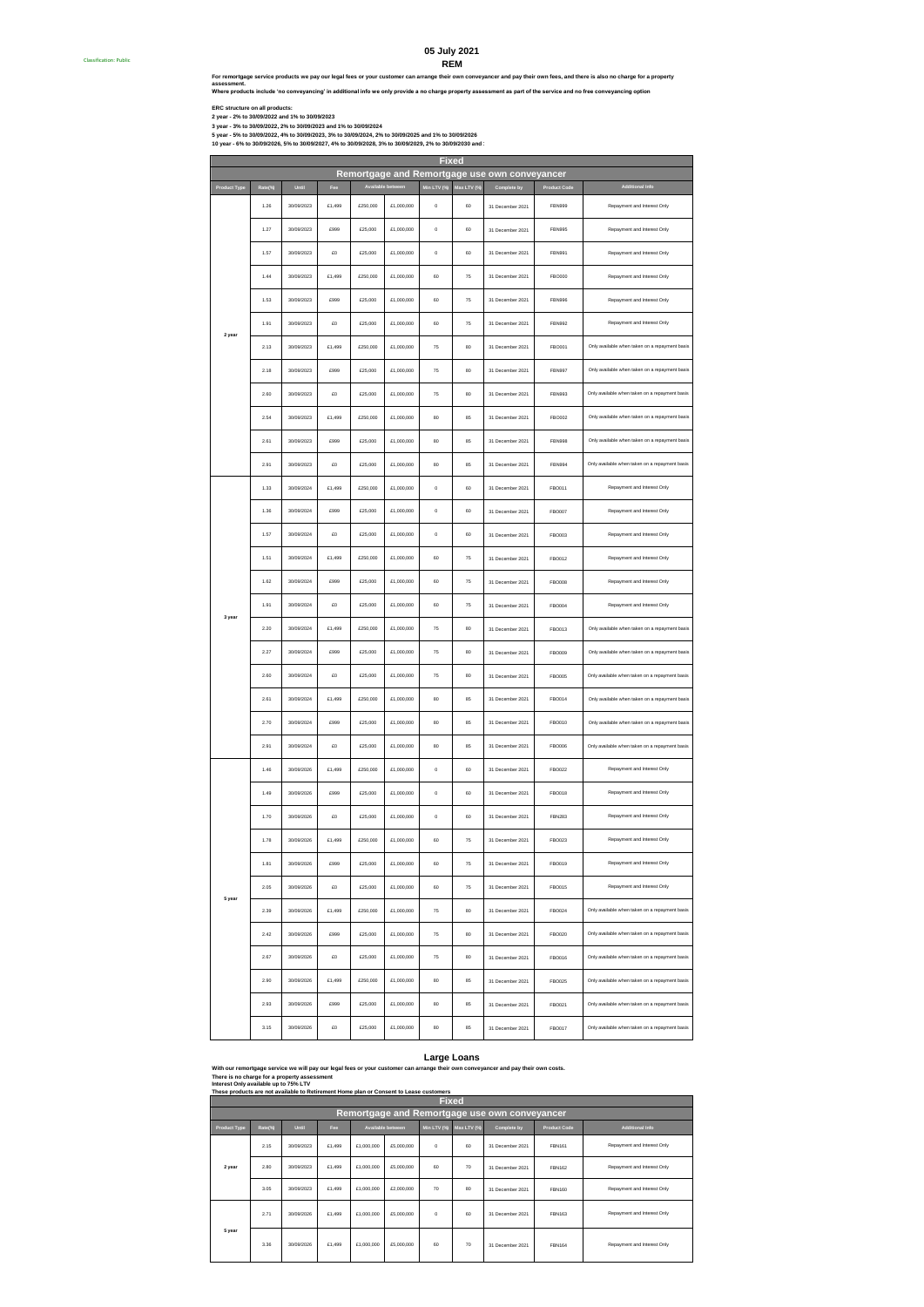## **REM 05 July 2021**

**Where products include 'no conveyancing' in additional info we only provide a no charge property assessment as part of the service and no free conveyancing option For remortgage service products we pay our legal fees or your customer can arrange their own conveyancer and pay their own fees, and there is also no charge for a property assessment.**

Classification: Public #

ERC structure on all products:<br>2 year - 2% to 30/09/2022 and 1% to 30/09/2023<br>3 year - 3% to 30/09/2022, 2% to 30/09/2023 and 1% to 30/09/2024<br>10 year - 6% to 30/09/2022, 4% to 30/09/2023, 3% to 30/09/2024, 2% to 30/09/202

|                     |         |            |        |                      |             | <b>Fixed</b> |             |                                               |                     |                                                |
|---------------------|---------|------------|--------|----------------------|-------------|--------------|-------------|-----------------------------------------------|---------------------|------------------------------------------------|
|                     |         |            |        |                      |             |              |             | Remortgage and Remortgage use own conveyancer |                     |                                                |
| <b>Product Type</b> | Rate(%) | Until      | Fee    | <b>Available bet</b> |             | Min LTV (%)  | Max LTV (%) | Complete by                                   | <b>Product Code</b> | <b>Additional Info</b>                         |
|                     | 1.26    | 30/09/2023 | £1,499 | £250,000             | £1,000,000  | $\mathbf 0$  | 60          | 31 December 2021                              | FBN999              | Repayment and Interest Only                    |
|                     | 1.27    | 30/09/2023 | £999   | £25,000              | £1,000,000  | $\bf{0}$     | 60          | 31 December 2021                              | <b>FBN995</b>       | Repayment and Interest Only                    |
|                     | 1.57    | 30/09/2023 | £O     | £25,000              | £1,000,000  | $\mathbf 0$  | 60          | 31 December 2021                              | FBN991              | Repayment and Interest Only                    |
|                     | 1.44    | 30/09/2023 | £1,499 | £250,000             | £1,000,000  | 60           | 75          | 31 December 2021                              | FBO000              | Repayment and Interest Only                    |
|                     | 1.53    | 30/09/2023 | £999   | £25,000              | £1,000,000  | 60           | 75          | 31 December 2021                              | <b>FBN996</b>       | Repayment and Interest Only                    |
| 2 year              | 1.91    | 30/09/2023 | £0     | £25,000              | £1,000,000  | 60           | 75          | 31 December 2021                              | FBN992              | Repayment and Interest Only                    |
|                     | 2.13    | 30/09/2023 | £1,499 | £250,000             | £1,000,000  | 75           | 80          | 31 December 2021                              | FB0001              | Only available when taken on a repayment basis |
|                     | 2.18    | 30/09/2023 | £999   | £25,000              | \$1,000,000 | 75           | 80          | 31 December 2021                              | FRN997              | Only available when taken on a repayment basis |
|                     | 2.60    | 30/09/2023 | £0     | £25,000              | £1,000,000  | 75           | 80          | 31 December 2021                              | <b>FBN993</b>       | Only available when taken on a repayment basis |
|                     | 2.54    | 30/09/2023 | £1,499 | £250,000             | £1,000,000  | 80           | 85          | 31 December 2021                              | FBO002              | Only available when taken on a repayment basis |
|                     | 2.61    | 30/09/2023 | £999   | £25,000              | £1,000,000  | 80           | 85          | 31 December 2021                              | <b>FBN998</b>       | Only available when taken on a repayment basis |
|                     | 2.91    | 30/09/2023 | £0     | £25,000              | £1,000,000  | 80           | 85          | 31 December 2021                              | <b>FBN994</b>       | Only available when taken on a repayment basis |
|                     | 1.33    | 30/09/2024 | £1,499 | £250,000             | £1,000,000  | $\mathbf 0$  | 60          | 31 December 2021                              | FBO011              | Repayment and Interest Only                    |
|                     | 1.36    | 30/09/2024 | £999   | £25,000              | £1,000,000  | $\bf{0}$     | 60          | 31 December 2021                              | FBO007              | Repayment and Interest Only                    |
|                     | 1.57    | 30/09/2024 | £O     | £25,000              | £1,000,000  | $\mathbf 0$  | 60          | 31 December 2021                              | FBO003              | Repayment and Interest Only                    |
|                     | 1.51    | 30/09/2024 | £1,499 | £250,000             | £1,000,000  | 60           | 75          | 31 December 2021                              | FBO012              | Repayment and Interest Only                    |
|                     | 1.62    | 30/09/2024 | £999   | £25,000              | £1,000,000  | 60           | 75          | 31 December 2021                              | <b>FBO008</b>       | Repayment and Interest Only                    |
| 3 year              | 1.91    | 30/09/2024 | £0     | £25,000              | £1,000,000  | 60           | 75          | 31 December 2021                              | FBO004              | Repayment and Interest Only                    |
|                     | 2.20    | 30/09/2024 | £1,499 | £250,000             | £1,000,000  | 75           | 80          | 31 December 2021                              | <b>FBO013</b>       | Only available when taken on a repayment basis |
|                     | 2.27    | 30/09/2024 | £999   | £25,000              | £1,000,000  | 75           | 80          | 31 December 2021                              | <b>FBO009</b>       | Only available when taken on a repayment basis |
|                     | 2.60    | 30/09/2024 | £0     | £25,000              | £1,000,000  | 75           | 80          | 31 December 2021                              | <b>FBO005</b>       | Only available when taken on a repayment basis |
|                     | 2.61    | 30/09/2024 | £1,499 | £250,000             | £1,000,000  | 80           | 85          | 31 December 2021                              | FBO014              | Only available when taken on a repayment basis |
|                     | 2.70    | 30/09/2024 | £999   | £25,000              | £1,000,000  | 80           | 85          | 31 December 2021                              | FBO010              | Only available when taken on a repayment basis |
|                     | 2.91    | 30/09/2024 | £0     | £25,000              | £1,000,000  | 80           | 85          | 31 December 2021                              | FBO006              | Only available when taken on a repayment basis |
|                     | 1.46    | 30/09/2026 | £1,499 | £250,000             | £1,000,000  | $\bf{0}$     | 60          | 31 December 2021                              | FBO022              | Repayment and Interest Only                    |
|                     | 1.49    | 30/09/2026 | £999   | £25,000              | £1,000,000  | $\bf{0}$     | 60          | 31 December 2021                              | FBO018              | Repayment and Interest Only                    |
|                     | 1.70    | 30/09/2026 | £0     | £25,000              | £1,000,000  | $\mathbf 0$  | 60          | 31 December 2021                              | <b>FBN283</b>       | Repayment and Interest Only                    |
|                     | 1.78    | 30/09/2026 | £1,499 | £250,000             | £1,000,000  | 60           | 75          | 31 December 2021                              | FBO023              | Repayment and Interest Only                    |
|                     | 1.81    | 30/09/2026 | £999   | £25,000              | £1,000,000  | 60           | 75          | 31 December 2021                              | FBO019              | Repayment and Interest Only                    |
| 5 year              | 2.05    | 30/09/2026 | £O     | £25,000              | £1,000,000  | 60           | 75          | 31 December 2021                              | FBO015              | Repayment and Interest Only                    |
|                     | 2.39    | 30/09/2026 | £1,499 | £250,000             | £1,000,000  | 76           | 80          | 31 December 2021                              | FBO024              | Only available when taken on a repayment basis |
|                     | 2.42    | 30/09/2026 | £999   | £25,000              | £1,000,000  | 76           | 80          | 31 December 2021                              | FBO020              | Only available when taken on a repayment basis |
|                     | 2.67    | 30/09/2026 | £0     | £25,000              | \$1,000,000 | 75           | 80          | 31 December 2021                              | FBO016              | Only available when taken on a repayment basis |
|                     | 2.90    | 30/09/2026 | £1,499 | £250,000             | £1,000,000  | 80           | 85          | 31 December 2021                              | FBO025              | Only available when taken on a repayment basis |
|                     | 2.93    | 30/09/2026 | £999   | £25,000              | \$1,000,000 | 80           | 85          | 31 December 2021                              | FBO021              | Only available when taken on a repayment basis |
|                     | 3.15    | 30/09/2026 | £0     | £25,000              | £1,000,000  | 80           | 85          | 31 December 2021                              | FB0017              | Only available when taken on a repayment basis |

# **Large Loans**<br>range their own conveyancer and pay their own costs.

**With our remortgage service we will pay our legal fees or your customer can arrange their own conveyancer and pay their own costs. There is no charge for a property assessment**

| Interest Only available up to 75% LTV |                                                                                        |            |        |            |                          |          |                         |                                               |                     |                             |  |  |  |  |  |
|---------------------------------------|----------------------------------------------------------------------------------------|------------|--------|------------|--------------------------|----------|-------------------------|-----------------------------------------------|---------------------|-----------------------------|--|--|--|--|--|
|                                       | These products are not available to Retirement Home plan or Consent to Lease customers |            |        |            |                          |          |                         |                                               |                     |                             |  |  |  |  |  |
|                                       | <b>Fixed</b>                                                                           |            |        |            |                          |          |                         |                                               |                     |                             |  |  |  |  |  |
|                                       |                                                                                        |            |        |            |                          |          |                         | Remortgage and Remortgage use own conveyancer |                     |                             |  |  |  |  |  |
| <b>Product Type</b>                   | Rate(%)                                                                                | Until      | Fee    |            | <b>Available between</b> |          | Min LTV (%) Max LTV (%) | Complete by                                   | <b>Product Code</b> | <b>Additional Info</b>      |  |  |  |  |  |
|                                       | 2.15                                                                                   | 30/09/2023 | £1,499 | £1,000,000 | £5,000,000               | $\Omega$ | 60                      | 31 December 2021                              | FRN161              | Repayment and Interest Only |  |  |  |  |  |
| 2 year                                | 2.80                                                                                   | 30/09/2023 | £1,499 | £1,000,000 | £5,000,000               | 60       | 70                      | 31 December 2021                              | FRN162              | Repayment and Interest Only |  |  |  |  |  |
|                                       | 3.05                                                                                   | 30/09/2023 | £1,499 | £1,000,000 | £2,000,000               | 70       | 80                      | 31 December 2021                              | <b>FBN160</b>       | Repayment and Interest Only |  |  |  |  |  |
|                                       | 2.71                                                                                   | 30/09/2026 | £1,499 | £1,000,000 | £5,000,000               | $\Omega$ | 60                      | 31 December 2021                              | <b>FBN163</b>       | Repayment and Interest Only |  |  |  |  |  |
| 5 year                                | 3.36                                                                                   | 30/09/2026 | £1,499 | £1,000,000 | £5,000,000               | 60       | 70                      | 31 December 2021                              | FRN164              | Repayment and Interest Only |  |  |  |  |  |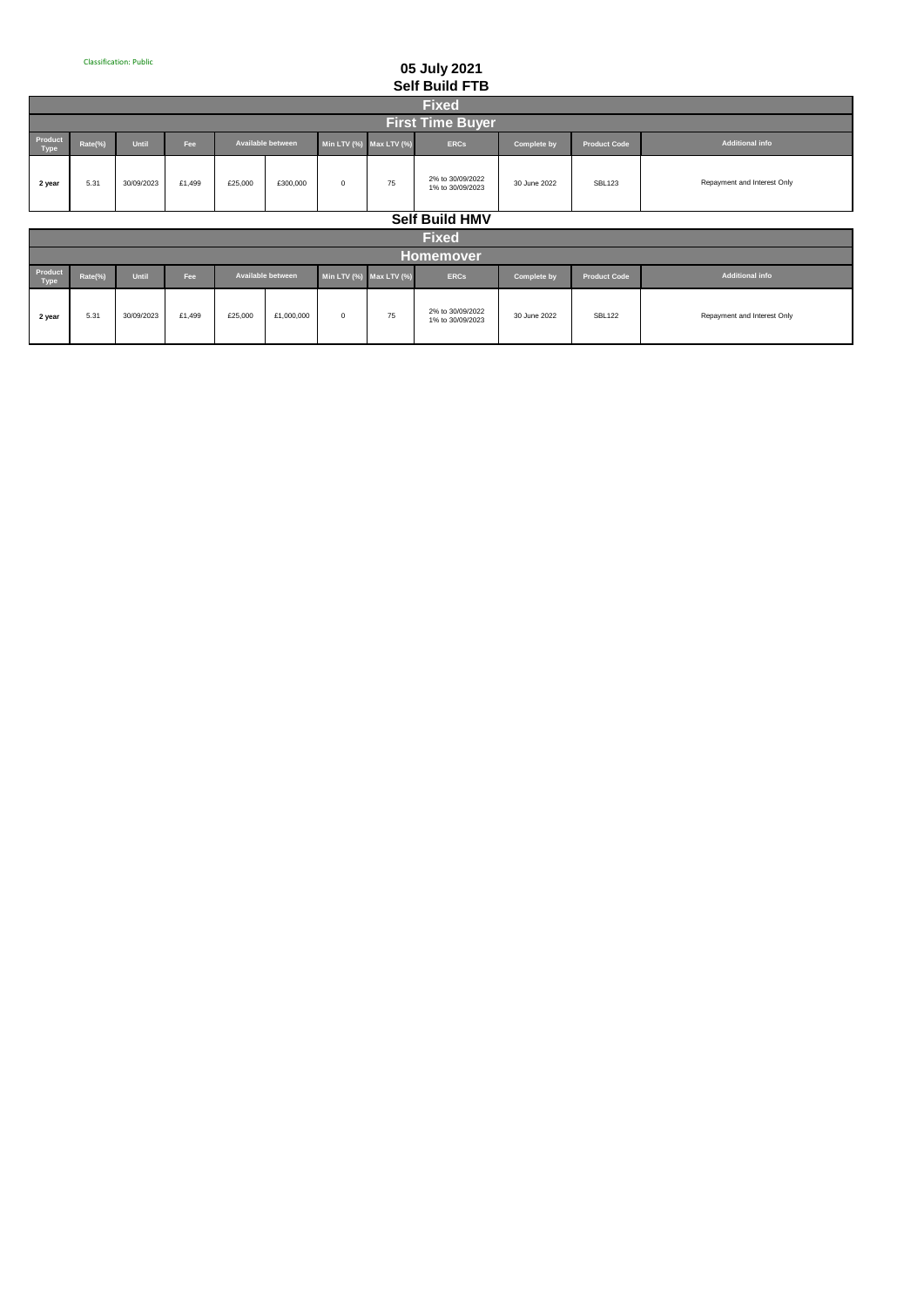# **05 July 2021 Self Build FTB**

| <b>Fixed</b>            |         |            |        |         |                          |                               |    |                                      |                    |                     |                             |  |  |
|-------------------------|---------|------------|--------|---------|--------------------------|-------------------------------|----|--------------------------------------|--------------------|---------------------|-----------------------------|--|--|
| <b>First Time Buyer</b> |         |            |        |         |                          |                               |    |                                      |                    |                     |                             |  |  |
| Product<br>Type         | Rate(%) | Until      | Fee    |         | <b>Available between</b> | Min LTV $(\%)$ Max LTV $(\%)$ |    | <b>ERCs</b>                          | <b>Complete by</b> | <b>Product Code</b> | <b>Additional info</b>      |  |  |
| 2 year                  | 5.31    | 30/09/2023 | £1,499 | £25,000 | £300,000                 | $^{\circ}$                    | 75 | 2% to 30/09/2022<br>1% to 30/09/2023 | 30 June 2022       | <b>SBL123</b>       | Repayment and Interest Only |  |  |
|                         |         |            |        |         |                          |                               |    |                                      |                    |                     |                             |  |  |

**Self Build HMV**

|                        | <b>Fixed</b> |            |        |         |                          |                               |    |                                      |                    |                     |                             |  |  |  |
|------------------------|--------------|------------|--------|---------|--------------------------|-------------------------------|----|--------------------------------------|--------------------|---------------------|-----------------------------|--|--|--|
|                        | Homemover    |            |        |         |                          |                               |    |                                      |                    |                     |                             |  |  |  |
| Product<br><b>Type</b> | Rate(%)      | Until      | Fee    |         | <b>Available between</b> | Min LTV $(\%)$ Max LTV $(\%)$ |    | <b>ERCs</b>                          | <b>Complete by</b> | <b>Product Code</b> | Additional info             |  |  |  |
| 2 year                 | 5.31         | 30/09/2023 | £1.499 | £25,000 | £1,000,000               | 0                             | 75 | 2% to 30/09/2022<br>1% to 30/09/2023 | 30 June 2022       | <b>SBL122</b>       | Repayment and Interest Only |  |  |  |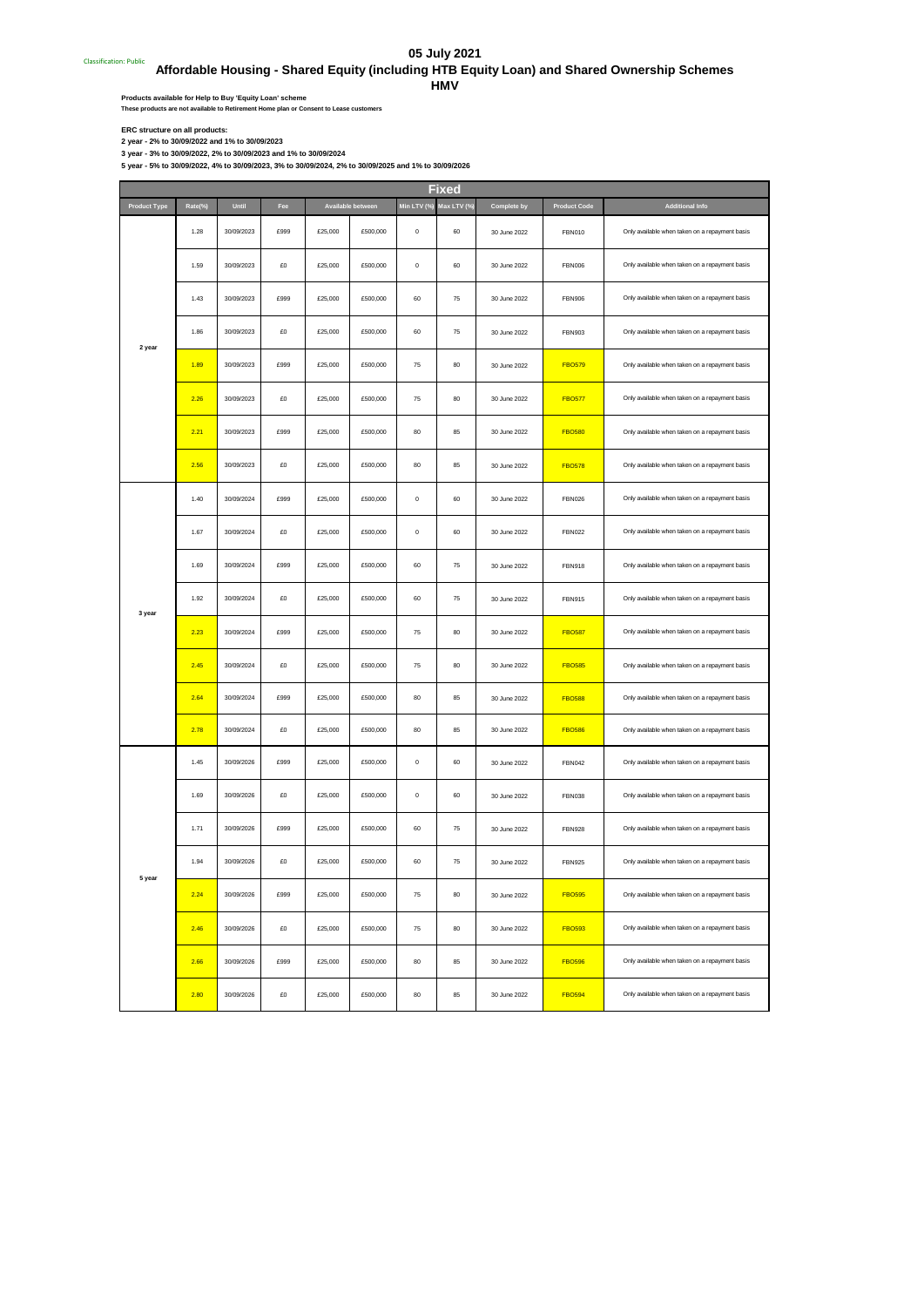# **05 July 2021**

## **Classification: Public Affordable Housing - Shared Equity (including HTB Equity Loan) and Shared Ownership Schemes**

**HMV**

Products available for Help to Buy 'Equity Loan' scheme<br>These products are not available to Retirement Home plan or Consent to Lease customers

**ERC structure on all products: 2 year - 2% to 30/09/2022 and 1% to 30/09/2023 3 year - 3% to 30/09/2022, 2% to 30/09/2023 and 1% to 30/09/2024**

**5 year - 5% to 30/09/2022, 4% to 30/09/2023, 3% to 30/09/2024, 2% to 30/09/2025 and 1% to 30/09/2026**

|                     |         |            |      |         |                   |             | Fixed      |              |                     |                                                |
|---------------------|---------|------------|------|---------|-------------------|-------------|------------|--------------|---------------------|------------------------------------------------|
| <b>Product Type</b> | Rate(%) | Until      | Fee  |         | Available between | Min LTV (%) | Max LTV (% | Complete by  | <b>Product Code</b> | <b>Additional Info</b>                         |
|                     | 1.28    | 30/09/2023 | £999 | £25,000 | £500,000          | $\,$ 0 $\,$ | 60         | 30 June 2022 | <b>FBN010</b>       | Only available when taken on a repayment basis |
|                     | 1.59    | 30/09/2023 | £O   | £25,000 | £500,000          | $\,0\,$     | 60         | 30 June 2022 | <b>FBN006</b>       | Only available when taken on a repayment basis |
|                     | 1.43    | 30/09/2023 | £999 | £25,000 | £500,000          | 60          | 75         | 30 June 2022 | <b>FBN906</b>       | Only available when taken on a repayment basis |
| 2 year              | 1.86    | 30/09/2023 | £0   | £25,000 | £500,000          | 60          | 75         | 30 June 2022 | <b>FBN903</b>       | Only available when taken on a repayment basis |
|                     | 1.89    | 30/09/2023 | £999 | £25,000 | £500,000          | 75          | 80         | 30 June 2022 | <b>FBO579</b>       | Only available when taken on a repayment basis |
|                     | 2.26    | 30/09/2023 | £O   | £25,000 | £500,000          | 75          | 80         | 30 June 2022 | <b>FBO577</b>       | Only available when taken on a repayment basis |
|                     | 2.21    | 30/09/2023 | £999 | £25,000 | £500,000          | 80          | 85         | 30 June 2022 | <b>FBO580</b>       | Only available when taken on a repayment basis |
|                     | 2.56    | 30/09/2023 | £0   | £25,000 | £500,000          | 80          | 85         | 30 June 2022 | <b>FBO578</b>       | Only available when taken on a repayment basis |
|                     | 1.40    | 30/09/2024 | £999 | £25,000 | £500,000          | $\mathbf 0$ | 60         | 30 June 2022 | <b>FBN026</b>       | Only available when taken on a repayment basis |
|                     | 1.67    | 30/09/2024 | £0   | £25,000 | £500,000          | $\,$ 0 $\,$ | 60         | 30 June 2022 | <b>FBN022</b>       | Only available when taken on a repayment basis |
|                     | 1.69    | 30/09/2024 | £999 | £25,000 | £500,000          | 60          | 75         | 30 June 2022 | <b>FBN918</b>       | Only available when taken on a repayment basis |
| 3 year              | 1.92    | 30/09/2024 | £O   | £25,000 | £500,000          | 60          | 75         | 30 June 2022 | <b>FBN915</b>       | Only available when taken on a repayment basis |
|                     | 2.23    | 30/09/2024 | £999 | £25,000 | £500,000          | 75          | 80         | 30 June 2022 | <b>FBO587</b>       | Only available when taken on a repayment basis |
|                     | 2.45    | 30/09/2024 | £0   | £25,000 | £500,000          | 75          | 80         | 30 June 2022 | <b>FBO585</b>       | Only available when taken on a repayment basis |
|                     | 2.64    | 30/09/2024 | £999 | £25,000 | £500,000          | 80          | 85         | 30 June 2022 | <b>FBO588</b>       | Only available when taken on a repayment basis |
|                     | 2.78    | 30/09/2024 | £0   | £25,000 | £500,000          | 80          | 85         | 30 June 2022 | <b>FBO586</b>       | Only available when taken on a repayment basis |
|                     | 1.45    | 30/09/2026 | £999 | £25,000 | £500,000          | $\mathbf 0$ | 60         | 30 June 2022 | <b>FBN042</b>       | Only available when taken on a repayment basis |
|                     | 1.69    | 30/09/2026 | £0   | £25,000 | £500,000          | $\mathbf 0$ | 60         | 30 June 2022 | <b>FBN038</b>       | Only available when taken on a repayment basis |
|                     | 1.71    | 30/09/2026 | £999 | £25,000 | £500,000          | 60          | 75         | 30 June 2022 | <b>FBN928</b>       | Only available when taken on a repayment basis |
| o year              | 1.94    | 30/09/2026 | £O   | £25,000 | £500,000          | 60          | 75         | 30 June 2022 | <b>FBN925</b>       | Only available when taken on a repayment basis |
|                     | 2.24    | 30/09/2026 | £999 | £25,000 | £500,000          | 75          | 80         | 30 June 2022 | <b>FBO595</b>       | Only available when taken on a repayment basis |
|                     | 2.46    | 30/09/2026 | £0   | £25,000 | £500,000          | 75          | 80         | 30 June 2022 | <b>FBO593</b>       | Only available when taken on a repayment basis |
|                     | 2.66    | 30/09/2026 | £999 | £25,000 | £500,000          | 80          | 85         | 30 June 2022 | <b>FBO596</b>       | Only available when taken on a repayment basis |
|                     | 2.80    | 30/09/2026 | £O   | £25,000 | £500,000          | 80          | 85         | 30 June 2022 | <b>FBO594</b>       | Only available when taken on a repayment basis |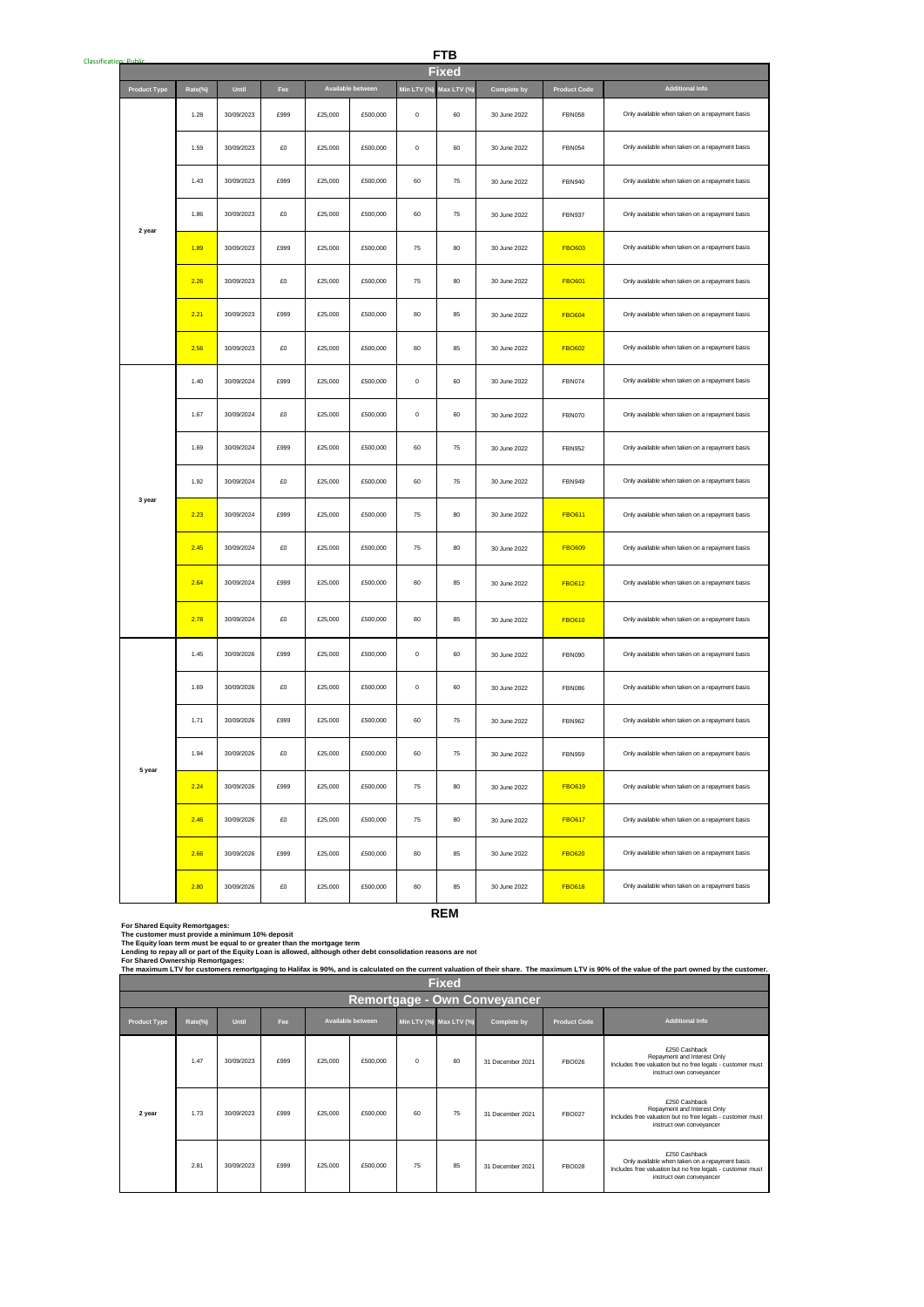| Classification: Public |                     |         |            |      |         |                   |             | <b>FTB</b>              |              |                     |                                                |
|------------------------|---------------------|---------|------------|------|---------|-------------------|-------------|-------------------------|--------------|---------------------|------------------------------------------------|
|                        |                     |         |            |      |         |                   |             | Fixed                   |              |                     |                                                |
|                        | <b>Product Type</b> | Rate(%) | Until      | Fee  |         | Available between |             | Min LTV (%) Max LTV (%) | Complete by  | <b>Product Code</b> | <b>Additional Info</b>                         |
|                        |                     | 1.28    | 30/09/2023 | £999 | £25,000 | £500,000          | $\bf 0$     | 60                      | 30 June 2022 | <b>FBN058</b>       | Only available when taken on a repayment basis |
|                        |                     | 1.59    | 30/09/2023 | £0   | £25,000 | £500,000          | $\mathbf 0$ | 60                      | 30 June 2022 | <b>FBN054</b>       | Only available when taken on a repayment basis |
|                        |                     | 1.43    | 30/09/2023 | £999 | £25,000 | £500,000          | 60          | 75                      | 30 June 2022 | <b>FBN940</b>       | Only available when taken on a repayment basis |
|                        | 2 year              | 1.86    | 30/09/2023 | £0   | £25,000 | £500,000          | 60          | 75                      | 30 June 2022 | <b>FBN937</b>       | Only available when taken on a repayment basis |
|                        |                     | 1.89    | 30/09/2023 | £999 | £25,000 | £500,000          | 75          | 80                      | 30 June 2022 | <b>FBO603</b>       | Only available when taken on a repayment basis |
|                        |                     | 2.26    | 30/09/2023 | £O   | £25,000 | £500,000          | 75          | 80                      | 30 June 2022 | <b>FBO601</b>       | Only available when taken on a repayment basis |
|                        |                     | 2.21    | 30/09/2023 | £999 | £25,000 | £500,000          | 80          | 85                      | 30 June 2022 | <b>FBO604</b>       | Only available when taken on a repayment basis |
|                        |                     | 2.56    | 30/09/2023 | £0   | £25,000 | £500,000          | 80          | 85                      | 30 June 2022 | <b>FBO602</b>       | Only available when taken on a repayment basis |
|                        |                     | 1.40    | 30/09/2024 | £999 | £25,000 | £500,000          | $\mathbf 0$ | 60                      | 30 June 2022 | <b>FBN074</b>       | Only available when taken on a repayment basis |
|                        |                     | 1.67    | 30/09/2024 | £0   | £25,000 | £500,000          | $\mathbf 0$ | 60                      | 30 June 2022 | <b>FBN070</b>       | Only available when taken on a repayment basis |
|                        |                     | 1.69    | 30/09/2024 | £999 | £25,000 | £500,000          | 60          | 75                      | 30 June 2022 | <b>FBN952</b>       | Only available when taken on a repayment basis |
|                        | 3 year              | 1.92    | 30/09/2024 | £0   | £25,000 | £500,000          | 60          | 75                      | 30 June 2022 | <b>FBN949</b>       | Only available when taken on a repayment basis |
|                        |                     | 2.23    | 30/09/2024 | £999 | £25,000 | £500,000          | 75          | $80\,$                  | 30 June 2022 | <b>FBO611</b>       | Only available when taken on a repayment basis |
|                        |                     | 2.45    | 30/09/2024 | £O   | £25,000 | £500,000          | 75          | 80                      | 30 June 2022 | <b>FBO609</b>       | Only available when taken on a repayment basis |
|                        |                     | 2.64    | 30/09/2024 | £999 | £25,000 | £500,000          | 80          | 85                      | 30 June 2022 | <b>FBO612</b>       | Only available when taken on a repayment basis |
|                        |                     | 2.78    | 30/09/2024 | £O   | £25,000 | £500,000          | 80          | 85                      | 30 June 2022 | <b>FBO610</b>       | Only available when taken on a repayment basis |
|                        |                     | 1.45    | 30/09/2026 | £999 | £25,000 | £500,000          | $\bf 0$     | 60                      | 30 June 2022 | <b>FBN090</b>       | Only available when taken on a repayment basis |
|                        |                     | 1.69    | 30/09/2026 | £0   | £25,000 | £500,000          | $\mathbf 0$ | 60                      | 30 June 2022 | <b>FBN086</b>       | Only available when taken on a repayment basis |
|                        |                     | 1.71    | 30/09/2026 | £999 | £25,000 | £500,000          | 60          | 75                      | 30 June 2022 | <b>FBN962</b>       | Only available when taken on a repayment basis |
|                        | 5 year              | 1.94    | 30/09/2026 | £0   | £25,000 | £500,000          | 60          | 75                      | 30 June 2022 | <b>FBN959</b>       | Only available when taken on a repayment basis |
|                        |                     | 2.24    | 30/09/2026 | £999 | £25,000 | £500,000          | ${\bf 75}$  | $80\,$                  | 30 June 2022 | <b>FBO619</b>       | Only available when taken on a repayment basis |
|                        |                     | 2.46    | 30/09/2026 | £0   | £25,000 | £500,000          | 75          | 80                      | 30 June 2022 | <b>FBO617</b>       | Only available when taken on a repayment basis |
|                        |                     | 2.66    | 30/09/2026 | £999 | £25,000 | £500,000          | 80          | 85                      | 30 June 2022 | <b>FBO620</b>       | Only available when taken on a repayment basis |
|                        |                     | 2.80    | 30/09/2026 | £O   | £25,000 | £500,000          | 80          | 85                      | 30 June 2022 | <b>FBO618</b>       | Only available when taken on a repayment basis |

**REM**

**For Shared Equity Remortgages:**

**The customer must provide a minimum 10% deposit**

The Equity Ioan term must be equal to or greater than the mortgage term<br>Lending to repay all or part of the Equity Loan is allowed, although other debt consolidation reasons are no**t** 

|                     | For Shared Ownership Remortgages:<br>The maximum LTV for customers remortgaging to Halifax is 90%, and is calculated on the current valuation of their share. The maximum LTV is 90% of the value of the part owned by the customer. |            |      |         |                   |          |                         |                              |                     |                                                                                                                                                           |  |  |  |  |
|---------------------|--------------------------------------------------------------------------------------------------------------------------------------------------------------------------------------------------------------------------------------|------------|------|---------|-------------------|----------|-------------------------|------------------------------|---------------------|-----------------------------------------------------------------------------------------------------------------------------------------------------------|--|--|--|--|
|                     | <b>Fixed</b>                                                                                                                                                                                                                         |            |      |         |                   |          |                         |                              |                     |                                                                                                                                                           |  |  |  |  |
|                     |                                                                                                                                                                                                                                      |            |      |         |                   |          |                         | Remortgage - Own Conveyancer |                     |                                                                                                                                                           |  |  |  |  |
| <b>Product Type</b> | Rate(%)                                                                                                                                                                                                                              | Until      | Fee  |         | Available between |          | Min LTV (%) Max LTV (%) | Complete by                  | <b>Product Code</b> | <b>Additional Info</b>                                                                                                                                    |  |  |  |  |
|                     | 1.47                                                                                                                                                                                                                                 | 30/09/2023 | £999 | £25,000 | £500,000          | $\Omega$ | 60                      | 31 December 2021             | <b>FBO026</b>       | £250 Cashback<br>Repayment and Interest Only<br>Includes free valuation but no free legals - customer must<br>instruct own convevancer                    |  |  |  |  |
| 2 year              | 1.73                                                                                                                                                                                                                                 | 30/09/2023 | £999 | £25,000 | £500,000          | 60       | 75                      | 31 December 2021             | <b>FBO027</b>       | £250 Cashback<br>Repayment and Interest Only<br>Includes free valuation but no free legals - customer must<br>instruct own convevancer                    |  |  |  |  |
|                     | 2.81                                                                                                                                                                                                                                 | 30/09/2023 | £999 | £25,000 | £500,000          | 75       | 85                      | 31 December 2021             | <b>FBO028</b>       | £250 Cashback<br>Only available when taken on a repayment basis<br>Includes free valuation but no free legals - customer must<br>instruct own convevancer |  |  |  |  |